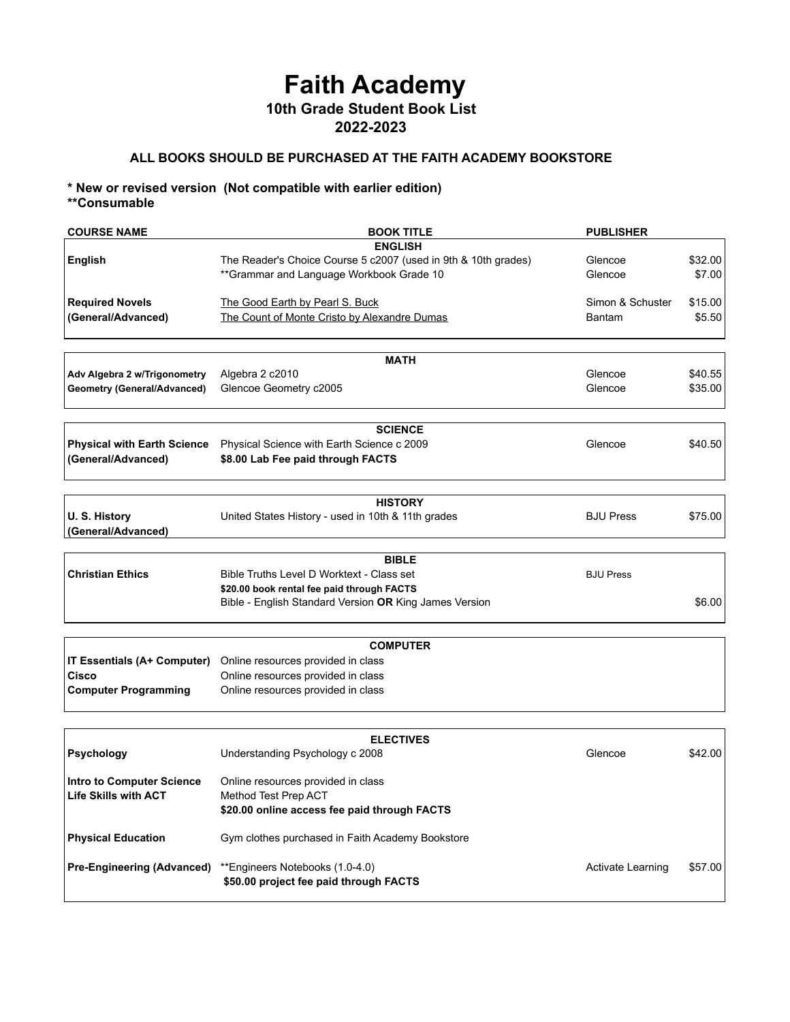## **Faith Academy 10th Grade Student Book List 2022-2023**

## **ALL BOOKS SHOULD BE PURCHASED AT THE FAITH ACADEMY BOOKSTORE**

## **\* New or revised version (Not compatible with earlier edition) \*\*Consumable**

| <b>COURSE NAME</b>                                              | <b>BOOK TITLE</b>                                                    | <b>PUBLISHER</b>  |         |
|-----------------------------------------------------------------|----------------------------------------------------------------------|-------------------|---------|
|                                                                 | <b>ENGLISH</b>                                                       |                   |         |
| <b>English</b>                                                  | The Reader's Choice Course 5 c2007 (used in 9th & 10th grades)       | Glencoe           | \$32.00 |
|                                                                 | **Grammar and Language Workbook Grade 10                             | Glencoe           | \$7.00  |
|                                                                 |                                                                      |                   |         |
| <b>Required Novels</b>                                          | The Good Earth by Pearl S. Buck                                      | Simon & Schuster  | \$15.00 |
| (General/Advanced)                                              | The Count of Monte Cristo by Alexandre Dumas                         | Bantam            | \$5.50  |
|                                                                 |                                                                      |                   |         |
|                                                                 | <b>MATH</b>                                                          |                   |         |
| Adv Algebra 2 w/Trigonometry                                    | Algebra 2 c2010                                                      | Glencoe           | \$40.55 |
| <b>Geometry (General/Advanced)</b>                              | Glencoe Geometry c2005                                               | Glencoe           | \$35.00 |
|                                                                 |                                                                      |                   |         |
|                                                                 | <b>SCIENCE</b>                                                       |                   |         |
| <b>Physical with Earth Science</b>                              | Physical Science with Earth Science c 2009                           | Glencoe           | \$40.50 |
| (General/Advanced)                                              | \$8.00 Lab Fee paid through FACTS                                    |                   |         |
|                                                                 |                                                                      |                   |         |
|                                                                 |                                                                      |                   |         |
|                                                                 | <b>HISTORY</b>                                                       |                   |         |
| U.S. History                                                    | United States History - used in 10th & 11th grades                   | <b>BJU Press</b>  | \$75.00 |
| (General/Advanced)                                              |                                                                      |                   |         |
|                                                                 | <b>BIBLE</b>                                                         |                   |         |
| <b>Christian Ethics</b>                                         | Bible Truths Level D Worktext - Class set                            | <b>BJU Press</b>  |         |
|                                                                 | \$20.00 book rental fee paid through FACTS                           |                   |         |
|                                                                 | Bible - English Standard Version OR King James Version               |                   | \$6.00  |
|                                                                 |                                                                      |                   |         |
|                                                                 |                                                                      |                   |         |
|                                                                 | <b>COMPUTER</b>                                                      |                   |         |
| IT Essentials (A+ Computer)                                     | Online resources provided in class                                   |                   |         |
| Cisco                                                           | Online resources provided in class                                   |                   |         |
| <b>Computer Programming</b>                                     | Online resources provided in class                                   |                   |         |
|                                                                 |                                                                      |                   |         |
|                                                                 | <b>ELECTIVES</b>                                                     |                   |         |
| <b>Psychology</b>                                               | Understanding Psychology c 2008                                      | Glencoe           | \$42.00 |
|                                                                 |                                                                      |                   |         |
| <b>Intro to Computer Science</b><br><b>Life Skills with ACT</b> | Online resources provided in class                                   |                   |         |
|                                                                 | Method Test Prep ACT<br>\$20.00 online access fee paid through FACTS |                   |         |
|                                                                 |                                                                      |                   |         |
| <b>Physical Education</b>                                       | Gym clothes purchased in Faith Academy Bookstore                     |                   |         |
|                                                                 |                                                                      |                   |         |
| <b>Pre-Engineering (Advanced)</b>                               | **Engineers Notebooks (1.0-4.0)                                      | Activate Learning | \$57.00 |
|                                                                 | \$50.00 project fee paid through FACTS                               |                   |         |
|                                                                 |                                                                      |                   |         |